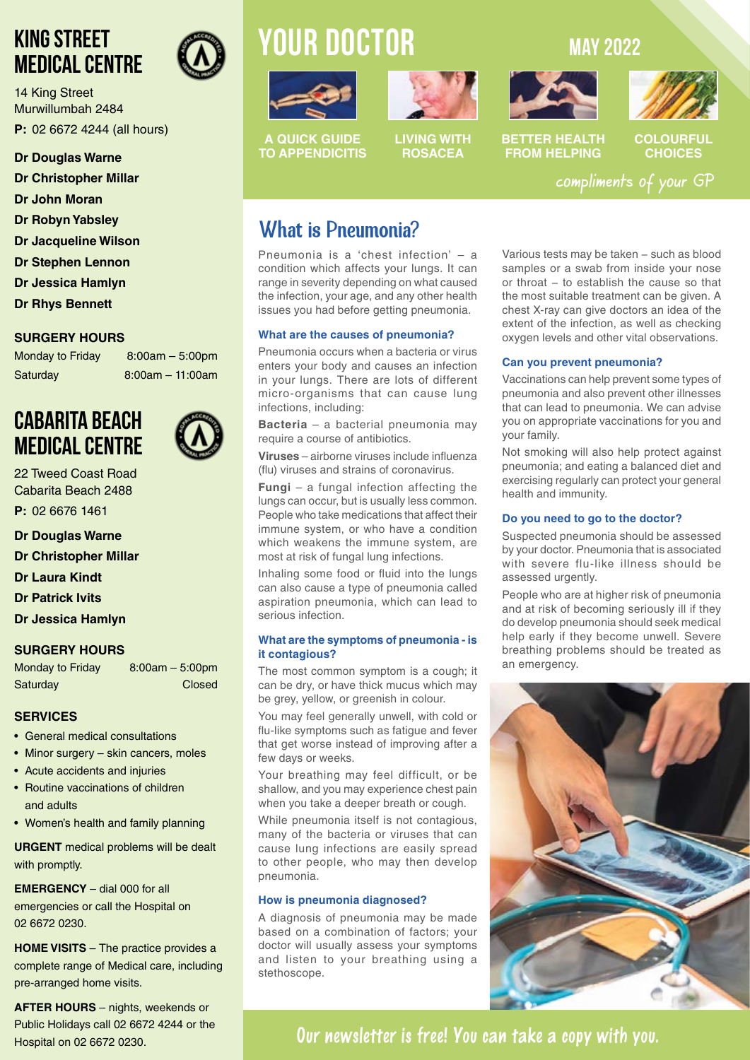### **KING STREET MEDICAL CENTRE**

14 King Street Murwillumbah 2484

**P:** 02 6672 4244 (all hours)

### **Dr Douglas Warne**

**Dr Christopher Millar**

- **Dr John Moran**
- **Dr Robyn Yabsley**
- **Dr Jacqueline Wilson**
- **Dr Stephen Lennon**
- **Dr Jessica Hamlyn**
- **Dr Rhys Bennett**

### **SURGERY HOURS**

Monday to Friday 8:00am - 5:00pm Saturday 8:00am – 11:00am

### **CABARITA BEACH MEDICAL CENTRE**



22 Tweed Coast Road Cabarita Beach 2488

- **P:** 02 6676 1461
- **Dr Douglas Warne**
- **Dr Christopher Millar**
- **Dr Laura Kindt**
- **Dr Patrick Ivits**
- **Dr Jessica Hamlyn**

### **SURGERY HOURS**

Monday to Friday 8:00am – 5:00pm Saturday **Closed** 

### **SERVICES**

- General medical consultations
- Minor surgery skin cancers, moles
- Acute accidents and injuries
- Routine vaccinations of children and adults
- Women's health and family planning

**URGENT** medical problems will be dealt with promptly.

**EMERGENCY** – dial 000 for all emergencies or call the Hospital on 02 6672 0230.

**HOME VISITS** – The practice provides a complete range of Medical care, including pre-arranged home visits.

**AFTER HOURS** – nights, weekends or Public Holidays call 02 6672 4244 or the Hospital on 02 6672 0230.

# **YOUR doctor MAY 2022**





**A QUICK GUIDE TO APPENDICITIS**

**LIVING WITH ROSACEA**



**BETTER HEALTH FROM HELPING**

**COLOURFUL CHOICES**

compliments of your GP

### What is Pneumonia?

Pneumonia is a 'chest infection' – a condition which affects your lungs. It can range in severity depending on what caused the infection, your age, and any other health issues you had before getting pneumonia.

### **What are the causes of pneumonia?**

Pneumonia occurs when a bacteria or virus enters your body and causes an infection in your lungs. There are lots of different micro-organisms that can cause lung infections, including:

**Bacteria** – a bacterial pneumonia may require a course of antibiotics.

**Viruses** – airborne viruses include influenza (flu) viruses and strains of coronavirus.

**Fungi** – a fungal infection affecting the lungs can occur, but is usually less common. People who take medications that affect their immune system, or who have a condition which weakens the immune system, are most at risk of fungal lung infections.

Inhaling some food or fluid into the lungs can also cause a type of pneumonia called aspiration pneumonia, which can lead to serious infection.

#### **What are the symptoms of pneumonia - is it contagious?**

The most common symptom is a cough; it can be dry, or have thick mucus which may be grey, yellow, or greenish in colour.

You may feel generally unwell, with cold or flu-like symptoms such as fatigue and fever that get worse instead of improving after a few days or weeks.

Your breathing may feel difficult, or be shallow, and you may experience chest pain when you take a deeper breath or cough.

While pneumonia itself is not contagious, many of the bacteria or viruses that can cause lung infections are easily spread to other people, who may then develop pneumonia.

### **How is pneumonia diagnosed?**

A diagnosis of pneumonia may be made based on a combination of factors; your doctor will usually assess your symptoms and listen to your breathing using a stethoscope.

Various tests may be taken − such as blood samples or a swab from inside your nose or throat − to establish the cause so that the most suitable treatment can be given. A chest X-ray can give doctors an idea of the extent of the infection, as well as checking oxygen levels and other vital observations.

### **Can you prevent pneumonia?**

Vaccinations can help prevent some types of pneumonia and also prevent other illnesses that can lead to pneumonia. We can advise you on appropriate vaccinations for you and your family.

Not smoking will also help protect against pneumonia; and eating a balanced diet and exercising regularly can protect your general health and immunity.

### **Do you need to go to the doctor?**

Suspected pneumonia should be assessed by your doctor. Pneumonia that is associated with severe flu-like illness should be assessed urgently.

People who are at higher risk of pneumonia and at risk of becoming seriously ill if they do develop pneumonia should seek medical help early if they become unwell. Severe breathing problems should be treated as an emergency.



### **Our newsletter is free! You can take a copy with you.**

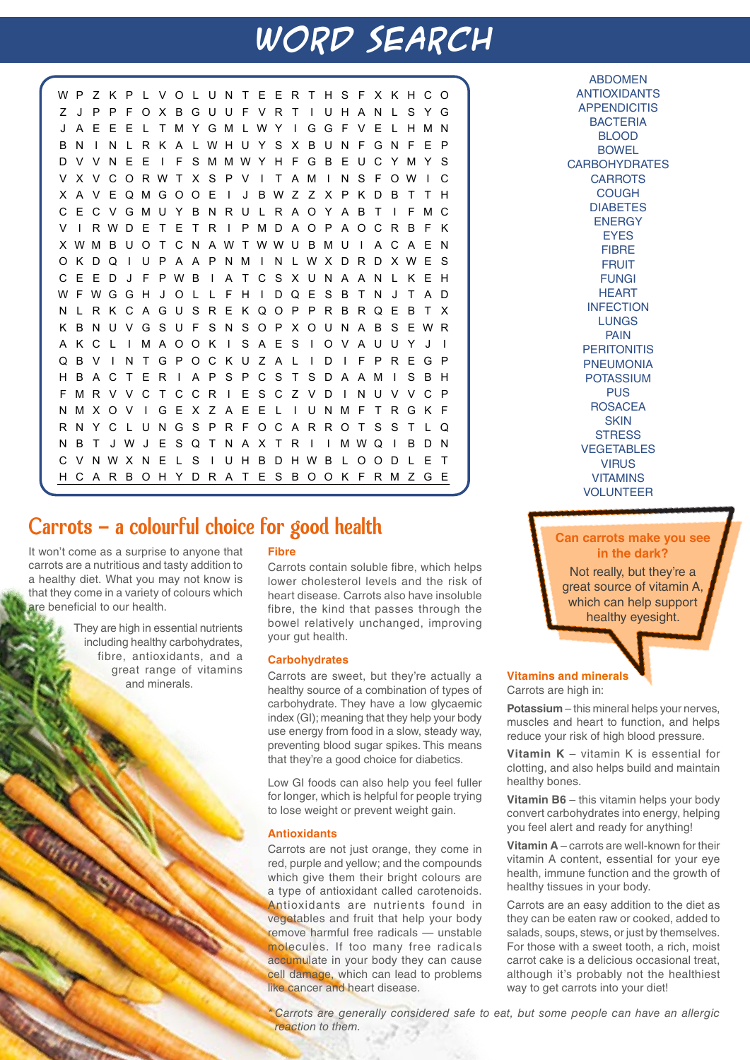# **WORD SEARCH**

WP Z K P L VO L UN T E ER T HS F X KHCO Z J PPFOXBGUUFVRT I UHAN L SYG J A E E E L TMYGM LWY I GGF V E L HMN B N I N L R K A LWHU Y S X B UN F GN F E P D V V N E E I F SMMWY H F G B E U C YM Y S V X V CORWT X S P V I T AM I N S F OW I C X A V EQMGOOE I J BWZ Z X P KDB T T H CECVGMUY BNRU L RAOY A B T I FMC V I RWD E T E T R I PMD AOP AOCR B F K XWM B U O T C N AW T WWU B M U I A C A E N OKDQ I UP A A PNM I N LWXDRDXWE S CE ED J F PWB I A T CS XUNA AN L K EH WFWGGH J O L L F H I DQ E S B T N J T A D L R K C A G U S R E K Q O P P R B R Q E B T X K B NU VGS U F S N SOP XOUN A B S EWR AKC L I MAOOK I SAES I OVAUUY J I QBV I NTGPOCKUZA L I D I FPREGP BACTER I APSPCSTSDAAM I SBH FMRVVCTCCR I ESCZ VD I NUVVCP NMXOV I GEX Z AEE L I UNMF TRGK F RNYC LUNGSPRFOCARROTSST LQ N B T J W J E S Q T N A X T R I I MWQ I B D N C V NWX N E L S I UH B DHWB L OOD L E T CARBOHYDRATESBOOK FRMZGE

### Carrots - a colourful choice for good health

It won't come as a surprise to anyone that carrots are a nutritious and tasty addition to a healthy diet. What you may not know is that they come in a variety of colours which **re beneficial to our health.** 

> They are high in essential nutrients including healthy carbohydrates, fibre, antioxidants, and a great range of vitamins and minerals.

### **Fibre**

Carrots contain soluble fibre, which helps lower cholesterol levels and the risk of heart disease. Carrots also have insoluble fibre, the kind that passes through the bowel relatively unchanged, improving your gut health.

### **Carbohydrates**

Carrots are sweet, but they're actually a healthy source of a combination of types of carbohydrate. They have a low glycaemic index (GI); meaning that they help your body use energy from food in a slow, steady way, preventing blood sugar spikes. This means that they're a good choice for diabetics.

Low GI foods can also help you feel fuller for longer, which is helpful for people trying to lose weight or prevent weight gain.

### **Antioxidants**

Carrots are not just orange, they come in red, purple and yellow; and the compounds which give them their bright colours are a type of antioxidant called carotenoids. Antioxidants are nutrients found in vegetables and fruit that help your body remove harmful free radicals — unstable molecules. If too many free radicals accumulate in your body they can cause cell damage, which can lead to problems like cancer and heart disease.

ABDOMEN ANTIOXIDANTS **APPENDICITIS BACTERIA** BLOOD **BOWEL CARBOHYDRATES CARROTS COUGH** DIABETES **ENFRGY EYES** FIBRE FRUIT FUNGI **HEART INFECTION** LUNGS PAIN **PERITONITIS** PNEUMONIA POTASSIUM **PUS** ROSACEA **SKIN STRESS** VEGETABLES VIRUS VITAMINS VOLUNTEER

**Can carrots make you see in the dark?**

Not really, but they're a great source of vitamin A, which can help support healthy eyesight.

### **Vitamins and minerals**

Carrots are high in:

**Potassium** – this mineral helps your nerves, muscles and heart to function, and helps reduce your risk of high blood pressure.

**Vitamin K** – vitamin K is essential for clotting, and also helps build and maintain healthy bones.

**Vitamin B6** – this vitamin helps your body convert carbohydrates into energy, helping you feel alert and ready for anything!

**Vitamin A** – carrots are well-known for their vitamin A content, essential for your eye health, immune function and the growth of healthy tissues in your body.

Carrots are an easy addition to the diet as they can be eaten raw or cooked, added to salads, soups, stews, or just by themselves. For those with a sweet tooth, a rich, moist carrot cake is a delicious occasional treat, although it's probably not the healthiest way to get carrots into your diet!

*\* Carrots are generally considered safe to eat, but some people can have an allergic reaction to them.*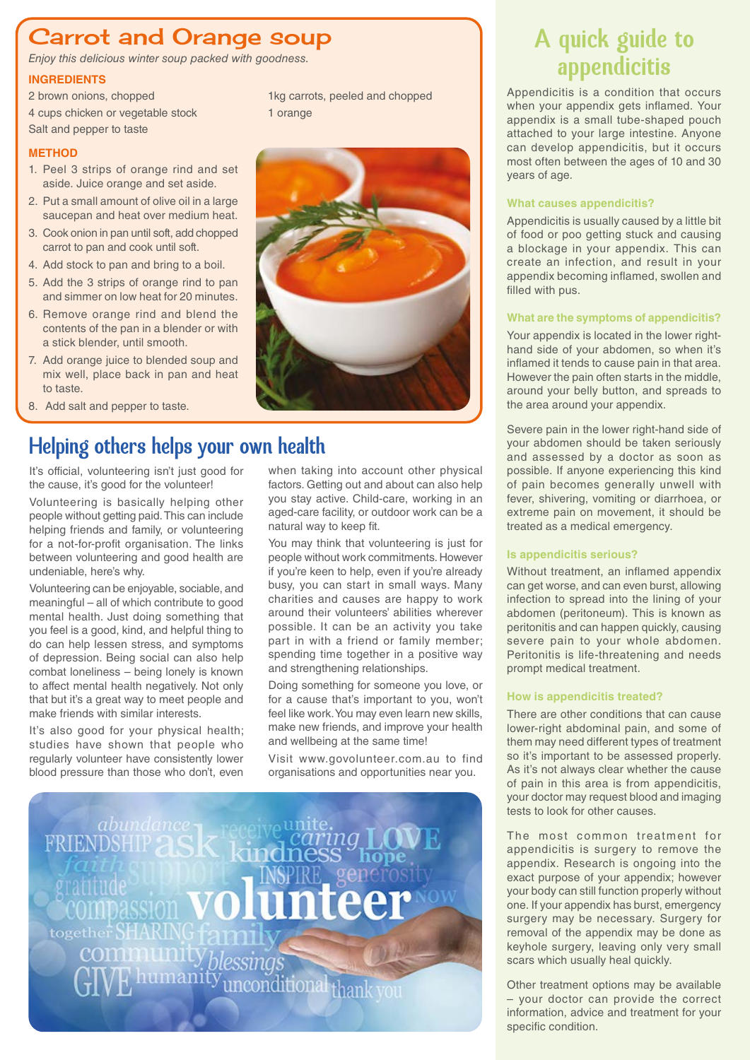### Carrot and Orange soup

*Enjoy this delicious winter soup packed with goodness.*

### **INGREDIENTS**

2 brown onions, chopped 4 cups chicken or vegetable stock Salt and pepper to taste

### **METHOD**

- 1. Peel 3 strips of orange rind and set aside. Juice orange and set aside.
- 2. Put a small amount of olive oil in a large saucepan and heat over medium heat.
- 3. Cook onion in pan until soft, add chopped carrot to pan and cook until soft.
- 4. Add stock to pan and bring to a boil.
- 5. Add the 3 strips of orange rind to pan and simmer on low heat for 20 minutes.
- 6. Remove orange rind and blend the contents of the pan in a blender or with a stick blender, until smooth.
- 7. Add orange juice to blended soup and mix well, place back in pan and heat to taste.
- 8. Add salt and pepper to taste.

### Helping others helps your own health

It's official, volunteering isn't just good for the cause, it's good for the volunteer!

Volunteering is basically helping other people without getting paid. This can include helping friends and family, or volunteering for a not-for-profit organisation. The links between volunteering and good health are undeniable, here's why.

Volunteering can be enjoyable, sociable, and meaningful – all of which contribute to good mental health. Just doing something that you feel is a good, kind, and helpful thing to do can help lessen stress, and symptoms of depression. Being social can also help combat loneliness – being lonely is known to affect mental health negatively. Not only that but it's a great way to meet people and make friends with similar interests.

It's also good for your physical health; studies have shown that people who regularly volunteer have consistently lower blood pressure than those who don't, even

when taking into account other physical factors. Getting out and about can also help you stay active. Child-care, working in an aged-care facility, or outdoor work can be a natural way to keep fit.

You may think that volunteering is just for people without work commitments. However if you're keen to help, even if you're already busy, you can start in small ways. Many charities and causes are happy to work around their volunteers' abilities wherever possible. It can be an activity you take part in with a friend or family member; spending time together in a positive way and strengthening relationships.

Doing something for someone you love, or for a cause that's important to you, won't feel like work. You may even learn new skills, make new friends, and improve your health and wellbeing at the same time!

Visit www.govolunteer.com.au to find organisations and opportunities near you.

together. H nconditional than

## A quick guide to appendicitis

Appendicitis is a condition that occurs when your appendix gets inflamed. Your appendix is a small tube-shaped pouch attached to your large intestine. Anyone can develop appendicitis, but it occurs most often between the ages of 10 and 30 years of age.

#### **What causes appendicitis?**

Appendicitis is usually caused by a little bit of food or poo getting stuck and causing a blockage in your appendix. This can create an infection, and result in your appendix becoming inflamed, swollen and filled with pus.

#### **What are the symptoms of appendicitis?**

Your appendix is located in the lower righthand side of your abdomen, so when it's inflamed it tends to cause pain in that area. However the pain often starts in the middle, around your belly button, and spreads to the area around your appendix.

Severe pain in the lower right-hand side of your abdomen should be taken seriously and assessed by a doctor as soon as possible. If anyone experiencing this kind of pain becomes generally unwell with fever, shivering, vomiting or diarrhoea, or extreme pain on movement, it should be treated as a medical emergency.

### **Is appendicitis serious?**

Without treatment, an inflamed appendix can get worse, and can even burst, allowing infection to spread into the lining of your abdomen (peritoneum). This is known as peritonitis and can happen quickly, causing severe pain to your whole abdomen. Peritonitis is life-threatening and needs prompt medical treatment.

### **How is appendicitis treated?**

There are other conditions that can cause lower-right abdominal pain, and some of them may need different types of treatment so it's important to be assessed properly. As it's not always clear whether the cause of pain in this area is from appendicitis, your doctor may request blood and imaging tests to look for other causes.

The most common treatment for appendicitis is surgery to remove the appendix. Research is ongoing into the exact purpose of your appendix; however your body can still function properly without one. If your appendix has burst, emergency surgery may be necessary. Surgery for removal of the appendix may be done as keyhole surgery, leaving only very small scars which usually heal quickly.

Other treatment options may be available – your doctor can provide the correct information, advice and treatment for your specific condition.



1kg carrots, peeled and chopped

1 orange